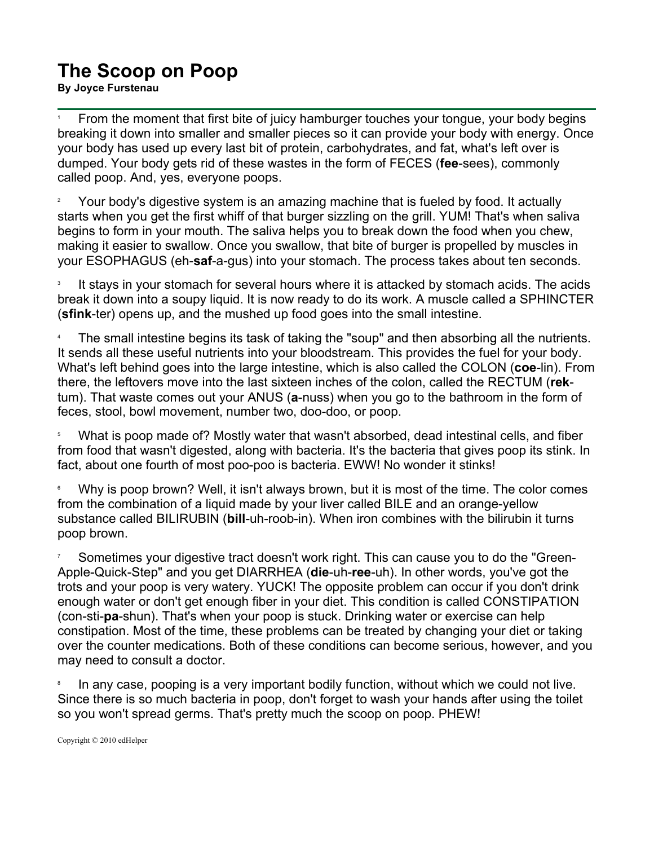## **The Scoop on Poop**

**By Joyce Furstenau**

1 From the moment that first bite of juicy hamburger touches your tongue, your body begins breaking it down into smaller and smaller pieces so it can provide your body with energy. Once your body has used up every last bit of protein, carbohydrates, and fat, what's left over is dumped. Your body gets rid of these wastes in the form of FECES (**fee**-sees), commonly called poop. And, yes, everyone poops.

2 Your body's digestive system is an amazing machine that is fueled by food. It actually starts when you get the first whiff of that burger sizzling on the grill. YUM! That's when saliva begins to form in your mouth. The saliva helps you to break down the food when you chew, making it easier to swallow. Once you swallow, that bite of burger is propelled by muscles in your ESOPHAGUS (eh-**saf**-a-gus) into your stomach. The process takes about ten seconds.

3 It stays in your stomach for several hours where it is attacked by stomach acids. The acids break it down into a soupy liquid. It is now ready to do its work. A muscle called a SPHINCTER (**sfink**-ter) opens up, and the mushed up food goes into the small intestine.

4 The small intestine begins its task of taking the "soup" and then absorbing all the nutrients. It sends all these useful nutrients into your bloodstream. This provides the fuel for your body. What's left behind goes into the large intestine, which is also called the COLON (**coe**-lin). From there, the leftovers move into the last sixteen inches of the colon, called the RECTUM (**rek**tum). That waste comes out your ANUS (**a**-nuss) when you go to the bathroom in the form of feces, stool, bowl movement, number two, doo-doo, or poop.

5 What is poop made of? Mostly water that wasn't absorbed, dead intestinal cells, and fiber from food that wasn't digested, along with bacteria. It's the bacteria that gives poop its stink. In fact, about one fourth of most poo-poo is bacteria. EWW! No wonder it stinks!

6 Why is poop brown? Well, it isn't always brown, but it is most of the time. The color comes from the combination of a liquid made by your liver called BILE and an orange-yellow substance called BILIRUBIN (**bill**-uh-roob-in). When iron combines with the bilirubin it turns poop brown.

7 Sometimes your digestive tract doesn't work right. This can cause you to do the "Green-Apple-Quick-Step" and you get DIARRHEA (**die**-uh-**ree**-uh). In other words, you've got the trots and your poop is very watery. YUCK! The opposite problem can occur if you don't drink enough water or don't get enough fiber in your diet. This condition is called CONSTIPATION (con-sti-**pa**-shun). That's when your poop is stuck. Drinking water or exercise can help constipation. Most of the time, these problems can be treated by changing your diet or taking over the counter medications. Both of these conditions can become serious, however, and you may need to consult a doctor.

8 In any case, pooping is a very important bodily function, without which we could not live. Since there is so much bacteria in poop, don't forget to wash your hands after using the toilet so you won't spread germs. That's pretty much the scoop on poop. PHEW!

Copyright © 2010 edHelper